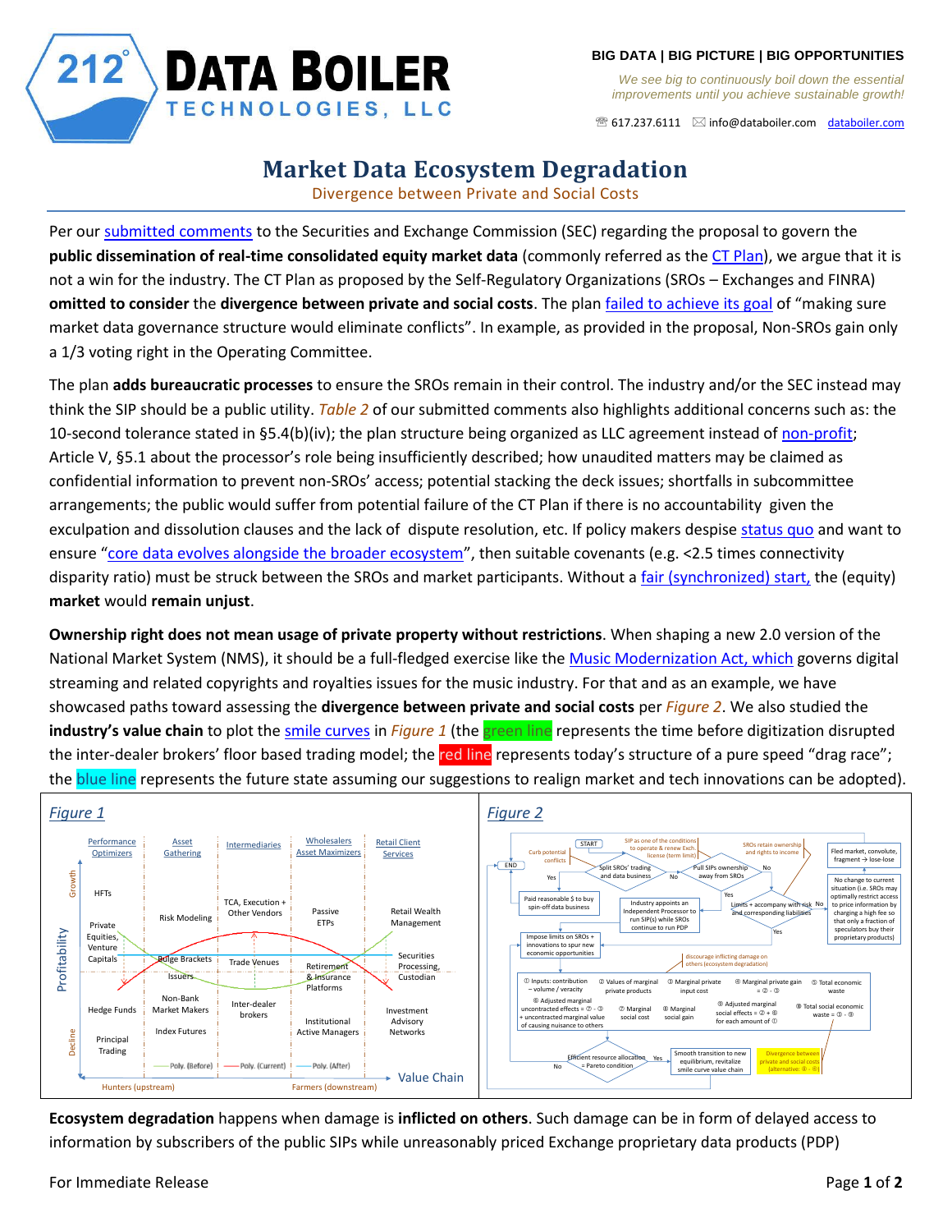

*We see big to continuously boil down the essential improvements until you achieve sustainable growth!*

 $\mathcal{F}$  617.237.6111  $\boxtimes$  [info@databoiler.com](mailto:info@databoiler.com) [databoiler.com](http://www.databoiler.com/)

## $212^{°}$ **DATA BOILER** TECHNOLOGIES, LLC

## **Market Data Ecosystem Degradation**

Divergence between Private and Social Costs

Per our [submitted comments](https://www.sec.gov/comments/4-757/4757-8011765-225416.pdf) to the Securities and Exchange Commission (SEC) regarding the proposal to govern the **public dissemination of real-time consolidated equity market data** (commonly referred as the [CT Plan\)](https://www.sec.gov/rules/sro/nms/2020/34-90096.pdf), we argue that it is not a win for the industry. The CT Plan as proposed by the Self-Regulatory Organizations (SROs – Exchanges and FINRA) **omitted to consider** the **divergence between private and social costs**. The plan [failed to achieve its goal](https://www.tradersmagazine.com/traders-feature/equity-market-data-plan-aims-at-conflicts-of-interest/) of "making sure market data governance structure would eliminate conflicts". In example, as provided in the proposal, Non-SROs gain only a 1/3 voting right in the Operating Committee.

The plan **adds bureaucratic processes** to ensure the SROs remain in their control. The industry and/or the SEC instead may think the SIP should be a public utility. *Table 2* of our submitted comments also highlights additional concerns such as: the 10-second tolerance stated in §5.4(b)(iv); the plan structure being organized as LLC agreement instead o[f non-profit;](https://jurassicparliament.com/executive-session-in-roberts-rules) Article V, §5.1 about the processor's role being insufficiently described; how unaudited matters may be claimed as confidential information to prevent non-SROs' access; potential stacking the deck issues; shortfalls in subcommittee arrangements; the public would suffer from potential failure of the CT Plan if there is no accountability given the exculpation and dissolution clauses and the lack of dispute resolution, etc. If policy makers despis[e status quo](http://www.people.fas.harvard.edu/~robinlee/papers/ExchangeComp.pdf) and want to ensure "[core data evolves alongside the broader ecosystem](https://www.sec.gov/news/speech/clayton-redfearn-equity-market-structure-2019)", then suitable covenants (e.g. <2.5 times connectivity disparity ratio) must be struck between the SROs and market participants. Without a [fair \(synchronized\) start,](https://youtu.be/VcL66zx_6No) the (equity) **market** would **remain unjust**.

**Ownership right does not mean usage of private property without restrictions**. When shaping a new 2.0 version of the National Market System (NMS), it should be a full-fledged exercise like the [Music Modernization Act,](https://www.congress.gov/115/bills/hr5447/BILLS-115hr5447rds.pdf) which governs digital streaming and related copyrights and royalties issues for the music industry. For that and as an example, we have showcased paths toward assessing the **divergence between private and social costs** per *Figure 2*. We also studied the **industry's value chain** to plot the [smile curves](https://www.linkedin.com/pulse/smile-curve-changes-securities-value-chain-evolves-kelvin-to/) in *Figure 1* (the green line represents the time before digitization disrupted the inter-dealer brokers' floor based trading model; the red line represents today's structure of a pure speed "drag race"; the blue line represents the future state assuming our suggestions to realign market and tech innovations can be adopted).



**Ecosystem degradation** happens when damage is **inflicted on others**. Such damage can be in form of delayed access to information by subscribers of the public SIPs while unreasonably priced Exchange proprietary data products (PDP)